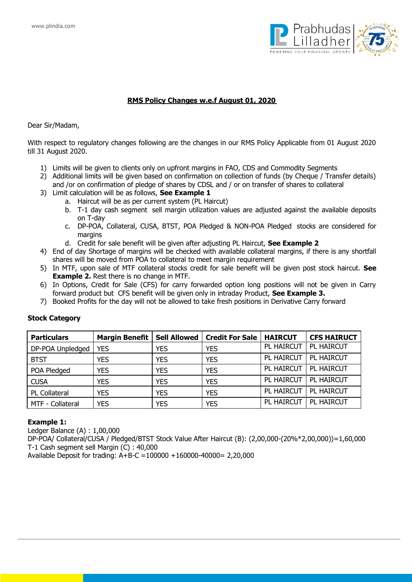

# **RMS Policy Changes w.e.f August 01, 2020**

Dear Sir/Madam,

With respect to regulatory changes following are the changes in our RMS Policy Applicable from 01 August 2020 till 31 August 2020.

- 1) Limits will be given to clients only on upfront margins in FAO, CDS and Commodity Segments
- 2) Additional limits will be given based on confirmation on collection of funds (by Cheque / Transfer details) and /or on confirmation of pledge of shares by CDSL and / or on transfer of shares to collateral
- 3) Limit calculation will be as follows, **See Example 1**
	- a. Haircut will be as per current system (PL Haircut)
	- b. T-1 day cash segment sell margin utilization values are adjusted against the available deposits on T-day
	- c. DP-POA, Collateral, CUSA, BTST, POA Pledged & NON-POA Pledged stocks are considered for margins
	- d. Credit for sale benefit will be given after adjusting PL Haircut, **See Example 2**
- 4) End of day Shortage of margins will be checked with available collateral margins, if there is any shortfall shares will be moved from POA to collateral to meet margin requirement
- 5) In MTF, upon sale of MTF collateral stocks credit for sale benefit will be given post stock haircut. **See Example 2.** Rest there is no change in MTF.
- 6) In Options, Credit for Sale (CFS) for carry forwarded option long positions will not be given in Carry forward product but CFS benefit will be given only in intraday Product, **See Example 3.**
- 7) Booked Profits for the day will not be allowed to take fresh positions in Derivative Carry forward

| <b>Particulars</b> | <b>Margin Benefit</b> |            | Sell Allowed   Credit For Sale | <b>HAIRCUT</b> | <b>CFS HAIRUCT</b> |
|--------------------|-----------------------|------------|--------------------------------|----------------|--------------------|
| DP-POA Unpledged   | <b>YES</b>            | <b>YES</b> | <b>YES</b>                     | PL HAIRCUT     | <b>PL HAIRCUT</b>  |
| <b>BTST</b>        | <b>YES</b>            | <b>YES</b> | <b>YES</b>                     | PL HAIRCUT     | PL HAIRCUT         |
| POA Pledged        | <b>YES</b>            | <b>YES</b> | <b>YES</b>                     | PL HAIRCUT     | <b>PL HAIRCUT</b>  |
| <b>CUSA</b>        | <b>YES</b>            | <b>YES</b> | <b>YES</b>                     | PL HAIRCUT     | PL HAIRCUT         |
| PL Collateral      | <b>YES</b>            | <b>YES</b> | <b>YES</b>                     | PL HAIRCUT     | PL HAIRCUT         |
| MTF - Collateral   | <b>YES</b>            | <b>YES</b> | <b>YES</b>                     | PL HAIRCUT     | PL HAIRCUT         |

## **Stock Category**

#### **Example 1:**

Ledger Balance (A) : 1,00,000

DP-POA/ Collateral/CUSA / Pledged/BTST Stock Value After Haircut (B): (2,00,000-(20%\*2,00,000))=1,60,000 T-1 Cash segment sell Margin (C) : 40,000

Available Deposit for trading: A+B-C =100000 +160000-40000= 2,20,000